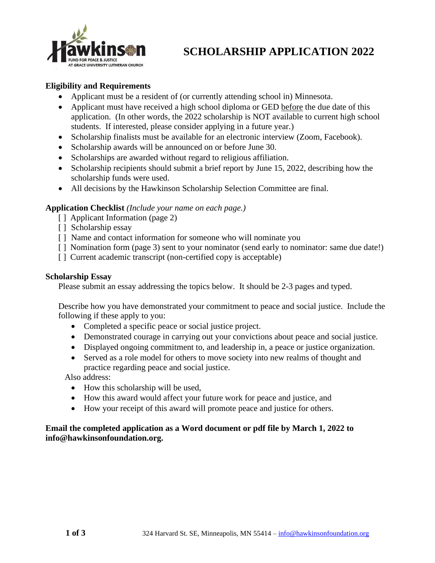

# **SCHOLARSHIP APPLICATION 2022**

### **Eligibility and Requirements**

- Applicant must be a resident of (or currently attending school in) Minnesota.
- Applicant must have received a high school diploma or GED before the due date of this application. (In other words, the 2022 scholarship is NOT available to current high school students. If interested, please consider applying in a future year.)
- Scholarship finalists must be available for an electronic interview (Zoom, Facebook).
- Scholarship awards will be announced on or before June 30.
- Scholarships are awarded without regard to religious affiliation.
- Scholarship recipients should submit a brief report by June 15, 2022, describing how the scholarship funds were used.
- All decisions by the Hawkinson Scholarship Selection Committee are final.

#### **Application Checklist** *(Include your name on each page.)*

- [ ] Applicant Information (page 2)
- [ ] Scholarship essay
- [] Name and contact information for someone who will nominate you
- [] Nomination form (page 3) sent to your nominator (send early to nominator: same due date!)
- [] Current academic transcript (non-certified copy is acceptable)

#### **Scholarship Essay**

Please submit an essay addressing the topics below. It should be 2-3 pages and typed.

Describe how you have demonstrated your commitment to peace and social justice. Include the following if these apply to you:

- Completed a specific peace or social justice project.
- Demonstrated courage in carrying out your convictions about peace and social justice.
- Displayed ongoing commitment to, and leadership in, a peace or justice organization.
- Served as a role model for others to move society into new realms of thought and practice regarding peace and social justice.

Also address:

- How this scholarship will be used,
- How this award would affect your future work for peace and justice, and
- How your receipt of this award will promote peace and justice for others.

### **Email the completed application as a Word document or pdf file by March 1, 2022 to info@hawkinsonfoundation.org.**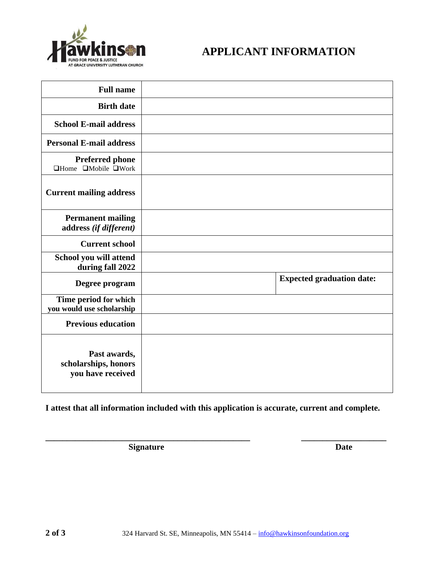

## **APPLICANT INFORMATION**

| <b>Full name</b>                                                |                                  |
|-----------------------------------------------------------------|----------------------------------|
| <b>Birth date</b>                                               |                                  |
| <b>School E-mail address</b>                                    |                                  |
| <b>Personal E-mail address</b>                                  |                                  |
| <b>Preferred phone</b><br>$\Box$ Home $\Box$ Mobile $\Box$ Work |                                  |
| <b>Current mailing address</b>                                  |                                  |
| <b>Permanent mailing</b><br>address (if different)              |                                  |
| <b>Current school</b>                                           |                                  |
| School you will attend<br>during fall 2022                      |                                  |
| Degree program                                                  | <b>Expected graduation date:</b> |
| Time period for which<br>you would use scholarship              |                                  |
| <b>Previous education</b>                                       |                                  |
| Past awards,<br>scholarships, honors<br>you have received       |                                  |

**I attest that all information included with this application is accurate, current and complete.**

**\_\_\_\_\_\_\_\_\_\_\_\_\_\_\_\_\_\_\_\_\_\_\_\_\_\_\_\_\_\_\_\_\_\_\_\_\_\_\_\_\_\_\_\_\_\_\_\_ \_\_\_\_\_\_\_\_\_\_\_\_\_\_\_\_\_\_\_\_**

**Signature** Date